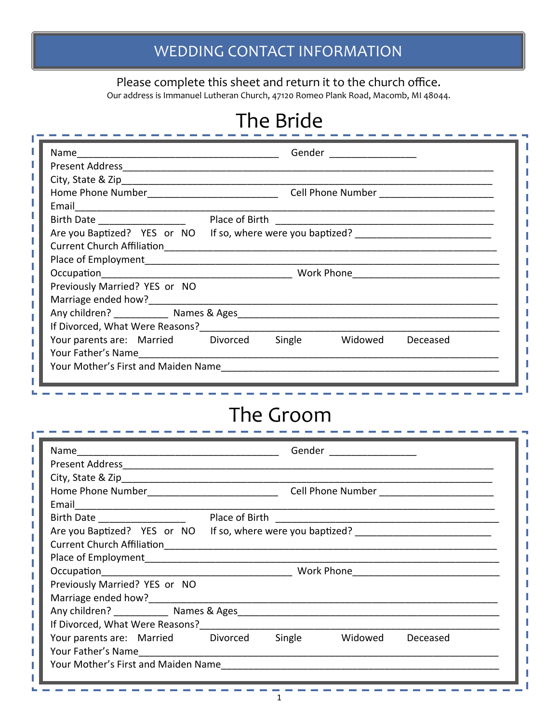#### Please complete this sheet and return it to the church office.

Our address is Immanuel Lutheran Church, 47120 Romeo Plank Road, Macomb, MI 48044.

### The Bride

|                                                                                                                                                                                                                                              |  | Gender _______________ |  |
|----------------------------------------------------------------------------------------------------------------------------------------------------------------------------------------------------------------------------------------------|--|------------------------|--|
|                                                                                                                                                                                                                                              |  |                        |  |
|                                                                                                                                                                                                                                              |  |                        |  |
|                                                                                                                                                                                                                                              |  |                        |  |
| Email <u>_______________________________</u>                                                                                                                                                                                                 |  |                        |  |
|                                                                                                                                                                                                                                              |  |                        |  |
| Are you Baptized? YES or NO If so, where were you baptized?                                                                                                                                                                                  |  |                        |  |
| <b>Current Church Affiliation</b>                                                                                                                                                                                                            |  |                        |  |
|                                                                                                                                                                                                                                              |  |                        |  |
| Mork Phone Communication of the Work Phone Communication of the Communication of the Communication of the Communication of the Communication of the Communication of the Communication of the Communication of the Communicati<br>Occupation |  |                        |  |
| Previously Married? YES or NO                                                                                                                                                                                                                |  |                        |  |
| Marriage ended how?                                                                                                                                                                                                                          |  |                        |  |
|                                                                                                                                                                                                                                              |  |                        |  |
|                                                                                                                                                                                                                                              |  |                        |  |
| Your parents are: Married bivorced Single Widowed Deceased                                                                                                                                                                                   |  |                        |  |
| Your Father's Name The Contract of the Source of the Source of The Theorem                                                                                                                                                                   |  |                        |  |
| Your Mother's First and Maiden Name [19] The Mother's First and Maiden Name                                                                                                                                                                  |  |                        |  |
|                                                                                                                                                                                                                                              |  |                        |  |

# The Groom

| Name                                                                                                                                                                                                                           |  | Gender _________________ |          |  |
|--------------------------------------------------------------------------------------------------------------------------------------------------------------------------------------------------------------------------------|--|--------------------------|----------|--|
|                                                                                                                                                                                                                                |  |                          |          |  |
|                                                                                                                                                                                                                                |  |                          |          |  |
|                                                                                                                                                                                                                                |  |                          |          |  |
| Email <u>__________________</u>                                                                                                                                                                                                |  |                          |          |  |
| Birth Date __________________                                                                                                                                                                                                  |  |                          |          |  |
| Are you Baptized? YES or NO If so, where were you baptized?                                                                                                                                                                    |  |                          |          |  |
|                                                                                                                                                                                                                                |  |                          |          |  |
|                                                                                                                                                                                                                                |  |                          |          |  |
|                                                                                                                                                                                                                                |  |                          |          |  |
| Previously Married? YES or NO                                                                                                                                                                                                  |  |                          |          |  |
| Marriage ended how?                                                                                                                                                                                                            |  |                          |          |  |
|                                                                                                                                                                                                                                |  |                          |          |  |
|                                                                                                                                                                                                                                |  |                          |          |  |
| Your parents are: Married bivorced Single by Widowed                                                                                                                                                                           |  |                          | Deceased |  |
| Your Father's Name The Contract of The County of The County of The County of The County of The County of The County of The County of The County of The County of The County of The County of The County of The County of The C |  |                          |          |  |
| Your Mother's First and Maiden Name [19] The Manneson Manneson Manneson Manneson Manneson Manneson Manneson Ma                                                                                                                 |  |                          |          |  |
|                                                                                                                                                                                                                                |  |                          |          |  |